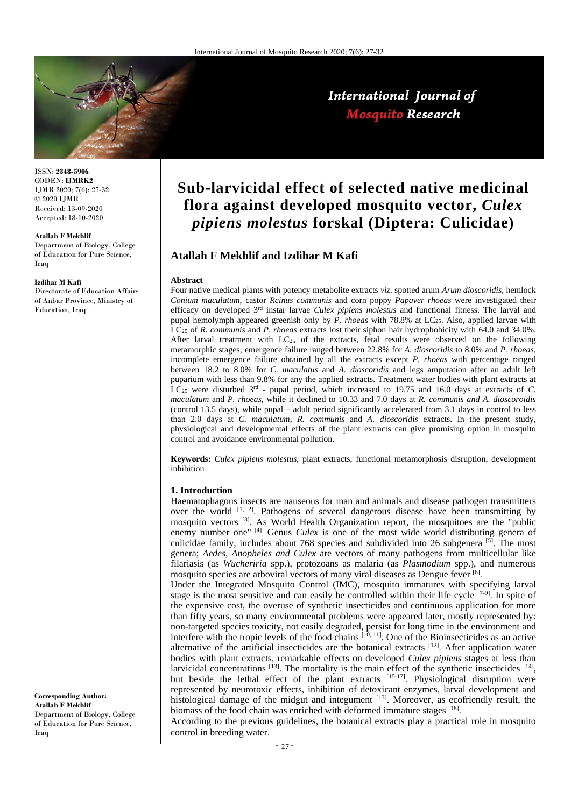

ISSN: **2348-5906** CODEN: **IJMRK2** IJMR 2020; 7(6): 27-32 © 2020 IJMR Received: 13-09-2020 Accepted: 18-10-2020

#### **Atallah F Mekhlif**

Department of Biology, College of Education for Pure Science, Iraq

#### **Izdihar M Kafi**

Directorate of Education Affairs of Anbar Province, Ministry of Education, Iraq

**Sub-larvicidal effect of selected native medicinal flora against developed mosquito vector,** *Culex pipiens molestus* **forskal (Diptera: Culicidae)**

# **Atallah F Mekhlif and Izdihar M Kafi**

#### **Abstract**

Four native medical plants with potency metabolite extracts *viz*. spotted arum *Arum dioscoridis,* hemlock *Conium maculatum,* castor *Rcinus communis* and corn poppy *Papaver rhoeas* were investigated their efficacy on developed 3rd instar larvae *Culex pipiens molestus* and functional fitness. The larval and pupal hemolymph appeared greenish only by *P. rhoeas* with 78.8% at LC25. Also, applied larvae with LC25 of *R*. *communis* and *P*. *rhoeas* extracts lost their siphon hair hydrophobicity with 64.0 and 34.0%. After larval treatment with LC25 of the extracts, fetal results were observed on the following metamorphic stages; emergence failure ranged between 22.8% for *A. dioscoridis* to 8.0% and *P. rhoeas*, incomplete emergence failure obtained by all the extracts except *P. rhoeas* with percentage ranged between 18.2 to 8.0% for *C. maculatus* and *A. dioscoridis* and legs amputation after an adult left puparium with less than 9.8% for any the applied extracts. Treatment water bodies with plant extracts at LC25 were disturbed 3rd - pupal period, which increased to 19.75 and 16.0 days at extracts of *C. maculatum* and *P. rhoeas*, while it declined to 10.33 and 7.0 days at *R. communis and A. dioscoroidis* (control 13.5 days), while pupal – adult period significantly accelerated from 3.1 days in control to less than 2.0 days at *C. maculatum, R. communis* and *A. dioscoridis* extracts. In the present study, physiological and developmental effects of the plant extracts can give promising option in mosquito control and avoidance environmental pollution.

**Keywords:** *Culex pipiens molestus*, plant extracts, functional metamorphosis disruption, development inhibition

## **1. Introduction**

Haematophagous insects are nauseous for man and animals and disease pathogen transmitters over the world  $[1, 2]$ . Pathogens of several dangerous disease have been transmitting by mosquito vectors <sup>[3]</sup>. As World Health Organization report, the mosquitoes are the "public enemy number one"<sup>[4]</sup>. Genus *Culex* is one of the most wide world distributing genera of culicidae family, includes about 768 species and subdivided into 26 subgenera [5]. The most genera; *Aedes, Anopheles and Culex* are vectors of many pathogens from multicellular like filariasis (as *Wucheriria* spp.), protozoans as malaria (as *Plasmodium* spp.), and numerous mosquito species are arboviral vectors of many viral diseases as Dengue fever [6] .

Under the Integrated Mosquito Control (IMC), mosquito immatures with specifying larval stage is the most sensitive and can easily be controlled within their life cycle <sup>[7-9]</sup>. In spite of the expensive cost, the overuse of synthetic insecticides and continuous application for more than fifty years, so many environmental problems were appeared later, mostly represented by: non-targeted species toxicity, not easily degraded, persist for long time in the environment and interfere with the tropic levels of the food chains [10, 11]. One of the Bioinsecticides as an active alternative of the artificial insecticides are the botanical extracts [12]. After application water bodies with plant extracts, remarkable effects on developed *Culex pipiens* stages at less than larvicidal concentrations  $^{[13]}$ . The mortality is the main effect of the synthetic insecticides  $^{[14]}$ , but beside the lethal effect of the plant extracts  $[15-17]$ . Physiological disruption were represented by neurotoxic effects, inhibition of detoxicant enzymes, larval development and histological damage of the midgut and integument [13]. Moreover, as ecofriendly result, the biomass of the food chain was enriched with deformed immature stages [18].

According to the previous guidelines, the botanical extracts play a practical role in mosquito control in breeding water.

**Corresponding Author: Atallah F Mekhlif** Department of Biology, College of Education for Pure Science, **I**raq

# International Journal of **Mosquito Research**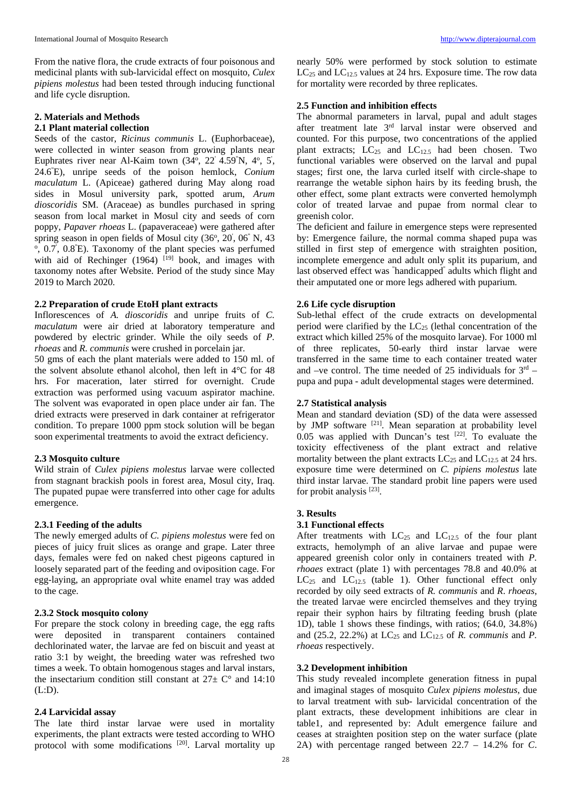From the native flora, the crude extracts of four poisonous and medicinal plants with sub-larvicidal effect on mosquito, *Culex pipiens molestus* had been tested through inducing functional and life cycle disruption.

# **2. Materials and Methods**

# **2.1 Plant material collection**

Seeds of the castor, *Ricinus communis* L. (Euphorbaceae), were collected in winter season from growing plants near Euphrates river near Al-Kaim town  $(34^{\circ}, 22^{\circ} 4.59^{\circ} N, 4^{\circ}, 5^{\circ})$ 24.6<sup>"</sup>E), unripe seeds of the poison hemlock, *Conium maculatum* L. (Apiceae) gathered during May along road sides in Mosul university park, spotted arum, *Arum dioscoridis* SM. (Araceae) as bundles purchased in spring season from local market in Mosul city and seeds of corn poppy, *Papaver rhoeas* L. (papaveraceae) were gathered after spring season in open fields of Mosul city (36°, 20', 06" N, 43 °, 0.7<sup>'</sup>, 0.8<sup>"</sup>E). Taxonomy of the plant species was perfumed with aid of Rechinger  $(1964)$  <sup>[19]</sup> book, and images with taxonomy notes after Website. Period of the study since May 2019 to March 2020.

## **2.2 Preparation of crude EtoH plant extracts**

Inflorescences of *A. dioscoridis* and unripe fruits of *C. maculatum* were air dried at laboratory temperature and powdered by electric grinder. While the oily seeds of *P. rhoeas* and *R. communis* were crushed in porcelain jar.

50 gms of each the plant materials were added to 150 ml. of the solvent absolute ethanol alcohol, then left in 4°C for 48 hrs. For maceration, later stirred for overnight. Crude extraction was performed using vacuum aspirator machine. The solvent was evaporated in open place under air fan. The dried extracts were preserved in dark container at refrigerator condition. To prepare 1000 ppm stock solution will be began soon experimental treatments to avoid the extract deficiency.

## **2.3 Mosquito culture**

Wild strain of *Culex pipiens molestus* larvae were collected from stagnant brackish pools in forest area, Mosul city, Iraq. The pupated pupae were transferred into other cage for adults emergence.

# **2.3.1 Feeding of the adults**

The newly emerged adults of *C. pipiens molestus* were fed on pieces of juicy fruit slices as orange and grape. Later three days, females were fed on naked chest pigeons captured in loosely separated part of the feeding and oviposition cage. For egg-laying, an appropriate oval white enamel tray was added to the cage.

# **2.3.2 Stock mosquito colony**

For prepare the stock colony in breeding cage, the egg rafts were deposited in transparent containers contained dechlorinated water, the larvae are fed on biscuit and yeast at ratio 3:1 by weight, the breeding water was refreshed two times a week. To obtain homogenous stages and larval instars, the insectarium condition still constant at  $27 \pm C^{\circ}$  and  $14:10$ (L:D).

#### **2.4 Larvicidal assay**

The late third instar larvae were used in mortality experiments, the plant extracts were tested according to WHO protocol with some modifications <sup>[20]</sup>. Larval mortality up

nearly 50% were performed by stock solution to estimate  $LC_{25}$  and  $LC_{12.5}$  values at 24 hrs. Exposure time. The row data for mortality were recorded by three replicates.

## **2.5 Function and inhibition effects**

The abnormal parameters in larval, pupal and adult stages after treatment late 3rd larval instar were observed and counted. For this purpose, two concentrations of the applied plant extracts;  $LC_{25}$  and  $LC_{12.5}$  had been chosen. Two functional variables were observed on the larval and pupal stages; first one, the larva curled itself with circle-shape to rearrange the wetable siphon hairs by its feeding brush, the other effect, some plant extracts were converted hemolymph color of treated larvae and pupae from normal clear to greenish color.

The deficient and failure in emergence steps were represented by: Emergence failure, the normal comma shaped pupa was stilled in first step of emergence with straighten position, incomplete emergence and adult only split its puparium, and last observed effect was " handicapped'' adults which flight and their amputated one or more legs adhered with puparium.

# **2.6 Life cycle disruption**

Sub-lethal effect of the crude extracts on developmental period were clarified by the  $LC_{25}$  (lethal concentration of the extract which killed 25% of the mosquito larvae). For 1000 ml of three replicates, 50-early third instar larvae were transferred in the same time to each container treated water and –ve control. The time needed of 25 individuals for  $3<sup>rd</sup>$  – pupa and pupa - adult developmental stages were determined.

#### **2.7 Statistical analysis**

Mean and standard deviation (SD) of the data were assessed by JMP software <sup>[21]</sup>. Mean separation at probability level  $0.05$  was applied with Duncan's test  $[22]$ . To evaluate the toxicity effectiveness of the plant extract and relative mortality between the plant extracts  $LC_{25}$  and  $LC_{12.5}$  at 24 hrs. exposure time were determined on *C. pipiens molestus* late third instar larvae. The standard probit line papers were used for probit analysis<sup>[23]</sup>.

#### **3. Results**

#### **3.1 Functional effects**

After treatments with  $LC_{25}$  and  $LC_{12.5}$  of the four plant extracts, hemolymph of an alive larvae and pupae were appeared greenish color only in containers treated with *P. rhoaes* extract (plate 1) with percentages 78.8 and 40.0% at  $LC_{25}$  and  $LC_{12.5}$  (table 1). Other functional effect only recorded by oily seed extracts of *R. communis* and *R*. *rhoeas*, the treated larvae were encircled themselves and they trying repair their syphon hairs by filtrating feeding brush (plate 1D), table 1 shows these findings, with ratios; (64.0, 34.8%) and (25.2, 22.2%) at  $LC_{25}$  and  $LC_{12.5}$  of *R. communis* and *P. rhoeas* respectively.

## **3.2 Development inhibition**

This study revealed incomplete generation fitness in pupal and imaginal stages of mosquito *Culex pipiens molestus*, due to larval treatment with sub- larvicidal concentration of the plant extracts, these development inhibitions are clear in table1, and represented by: Adult emergence failure and ceases at straighten position step on the water surface (plate 2A) with percentage ranged between 22.7 – 14.2% for *C*.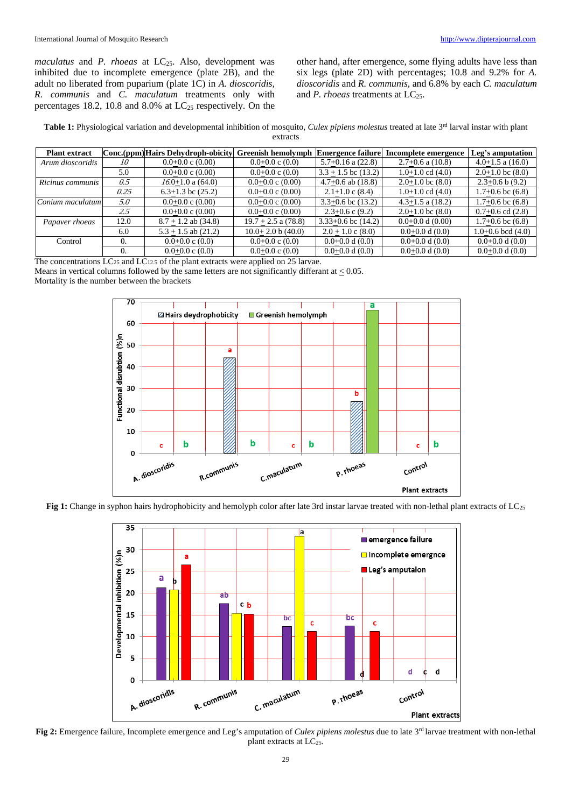*maculatus* and *P. rhoeas* at LC<sub>25</sub>. Also, development was inhibited due to incomplete emergence (plate 2B), and the adult no liberated from puparium (plate 1C) in *A. dioscoridis, R. communis* and *C. maculatum* treatments only with percentages 18.2, 10.8 and 8.0% at  $LC_{25}$  respectively. On the other hand, after emergence, some flying adults have less than six legs (plate 2D) with percentages; 10.8 and 9.2% for *A. dioscoridis* and *R. communis*, and 6.8% by each *C. maculatum* and *P. rhoeas* treatments at LC<sub>25</sub>.

| Table 1: Physiological variation and developmental inhibition of mosquito, <i>Culex pipiens molestus</i> treated at late 3 <sup>rd</sup> larval instar with plant |  |
|-------------------------------------------------------------------------------------------------------------------------------------------------------------------|--|
| extracts                                                                                                                                                          |  |

| <b>Plant extract</b> |      | Conc.(ppm) Hairs Dehydroph-obicity | Greenish hemolymph          | <b>Emergence failure</b> | Incomplete emergence   | Leg's amputation      |
|----------------------|------|------------------------------------|-----------------------------|--------------------------|------------------------|-----------------------|
| Arum dioscoridis     | 10   | $0.0+0.0$ c $(0.00)$               | $0.0+0.0 \text{ c } (0.0)$  | $5.7+0.16$ a $(22.8)$    | $2.7+0.6$ a $(10.8)$   | $4.0+1.5$ a $(16.0)$  |
|                      | 5.0  | $0.0+0.0$ c $(0.00)$               | $0.0+0.0 \text{ c } (0.0)$  | $3.3 + 1.5$ bc (13.2)    | $1.0+1.0$ cd $(4.0)$   | $2.0+1.0$ bc $(8.0)$  |
| Ricinus communis     | 0.5  | $16.0+1.0$ a $(64.0)$              | $0.0+0.0 \text{ c } (0.00)$ | $4.7+0.6$ ab $(18.8)$    | $2.0+1.0$ bc $(8.0)$   | $2.3+0.6 b(9.2)$      |
|                      | 0.25 | $6.3+1.3$ bc $(25.2)$              | $0.0+0.0 \text{ c } (0.00)$ | $2.1+1.0$ c $(8.4)$      | $1.0+1.0$ cd $(4.0)$   | $1.7+0.6$ bc $(6.8)$  |
| Conium maculatum     | 5.0  | $0.0+0.0$ c $(0.00)$               | $0.0+0.0 \text{ c } (0.00)$ | $3.3+0.6$ bc $(13.2)$    | $4.3 + 1.5$ a $(18.2)$ | $1.7+0.6$ bc $(6.8)$  |
|                      | 2.5  | $0.0+0.0$ c $(0.00)$               | $0.0+0.0 \text{ c } (0.00)$ | $2.3+0.6$ c $(9.2)$      | $2.0+1.0$ bc $(8.0)$   | $0.7+0.6$ cd $(2.8)$  |
| Papaver rhoeas       | 12.0 | $8.7 + 1.2$ ab $(34.8)$            | $19.7 + 2.5$ a $(78.8)$     | $3.33+0.6$ bc $(14.2)$   | $0.0+0.0 d(0.00)$      | $1.7+0.6$ bc $(6.8)$  |
|                      | 6.0  | $5.3 + 1.5$ ab $(21.2)$            | $10.0+2.0 b(40.0)$          | $2.0 + 1.0$ c $(8.0)$    | $0.0+0.0 d(0.0)$       | $1.0+0.6$ bcd $(4.0)$ |
| Control              |      | $0.0+0.0 \text{ c } (0.0)$         | $0.0+0.0 \text{ c } (0.0)$  | $0.0+0.0 d(0.0)$         | $0.0+0.0 d(0.0)$       | $0.0+0.0 d(0.0)$      |
|                      |      | $0.0+0.0 \text{ c } (0.0)$         | $0.0+0.0 \text{ c } (0.0)$  | $0.0+0.0 d(0.0)$         | $0.0+0.0 d(0.0)$       | $0.0+0.0 d(0.0)$      |

The concentrations LC<sub>25</sub> and LC<sub>12.5</sub> of the plant extracts were applied on 25 larvae.

Means in vertical columns followed by the same letters are not significantly differant at < 0.05.

Mortality is the number between the brackets



Fig 1: Change in syphon hairs hydrophobicity and hemolyph color after late 3rd instar larvae treated with non-lethal plant extracts of LC<sub>25</sub>



**Fig 2:** Emergence failure, Incomplete emergence and Leg's amputation of *Culex pipiens molestus* due to late 3rd larvae treatment with non-lethal plant extracts at LC<sub>25</sub>.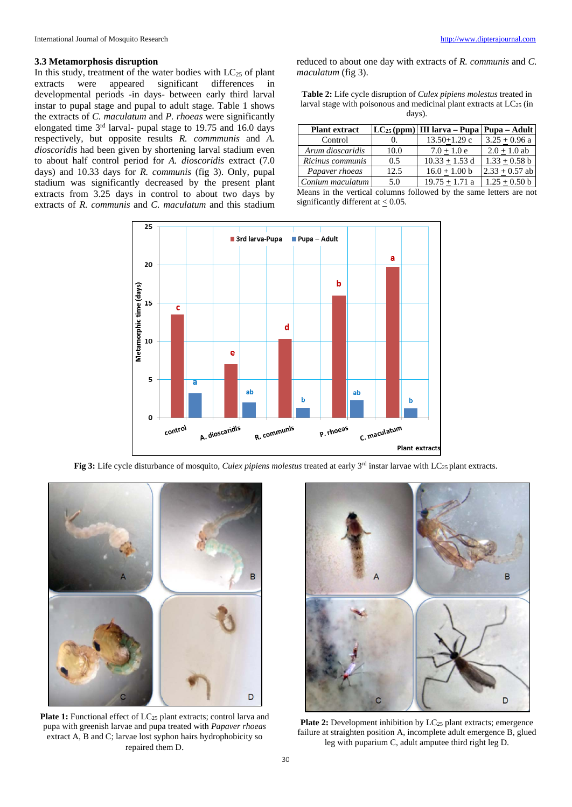In this study, treatment of the water bodies with  $LC_{25}$  of plant extracts were appeared significant differences in were appeared significant differences in developmental periods -in days- between early third larval instar to pupal stage and pupal to adult stage. Table 1 shows the extracts of *C. maculatum* and *P. rhoeas* were significantly elongated time 3rd larval- pupal stage to 19.75 and 16.0 days respectively, but opposite results *R. commmunis* and *A. dioscoridis* had been given by shortening larval stadium even to about half control period for *A. dioscoridis* extract (7.0 days) and 10.33 days for *R. communis* (fig 3). Only, pupal stadium was significantly decreased by the present plant extracts from 3.25 days in control to about two days by extracts of *R. communis* and *C. maculatum* and this stadium reduced to about one day with extracts of *R. communis* and *C. maculatum* (fig 3).

| <b>Table 2:</b> Life cycle disruption of <i>Culex pipiens molestus</i> treated in |
|-----------------------------------------------------------------------------------|
| larval stage with poisonous and medicinal plant extracts at $LC_{25}$ (in         |
| davs).                                                                            |

| <b>Plant extract</b>                                                             |      | $LC_{25}$ (ppm) III larva – Pupa   Pupa – Adult |                  |  |  |  |  |  |
|----------------------------------------------------------------------------------|------|-------------------------------------------------|------------------|--|--|--|--|--|
| Control                                                                          | 0.   | $13.50 + 1.29$ c                                | $3.25 + 0.96$ a  |  |  |  |  |  |
| Arum dioscaridis                                                                 | 10.0 | $7.0 + 1.0 e$                                   | $2.0 + 1.0$ ab   |  |  |  |  |  |
| Ricinus communis                                                                 | 0.5  | $10.33 + 1.53$ d                                | $1.33 + 0.58$ b  |  |  |  |  |  |
| Papaver rhoeas                                                                   | 12.5 | $16.0 + 1.00 b$                                 | $2.33 + 0.57$ ab |  |  |  |  |  |
| Conium maculatum                                                                 | 5.0  | $19.75 + 1.71$ a                                | $1.25 + 0.50$ b  |  |  |  |  |  |
| . Assume the 41st creation) colonians fullowed has 41st common loggerous and and |      |                                                 |                  |  |  |  |  |  |

|  |  |                                          | Means in the vertical columns followed by the same letters are not |  |  |  |
|--|--|------------------------------------------|--------------------------------------------------------------------|--|--|--|
|  |  | significantly different at $\leq 0.05$ . |                                                                    |  |  |  |



**Fig 3:** Life cycle disturbance of mosquito, *Culex pipiens molestus* treated at early 3<sup>rd</sup> instar larvae with LC<sub>25</sub> plant extracts.



Plate 1: Functional effect of LC<sub>25</sub> plant extracts; control larva and pupa with greenish larvae and pupa treated with *Papaver rhoeas* extract A, B and C; larvae lost syphon hairs hydrophobicity so repaired them D.



**Plate 2:** Development inhibition by LC<sub>25</sub> plant extracts; emergence failure at straighten position A, incomplete adult emergence B, glued leg with puparium C, adult amputee third right leg D.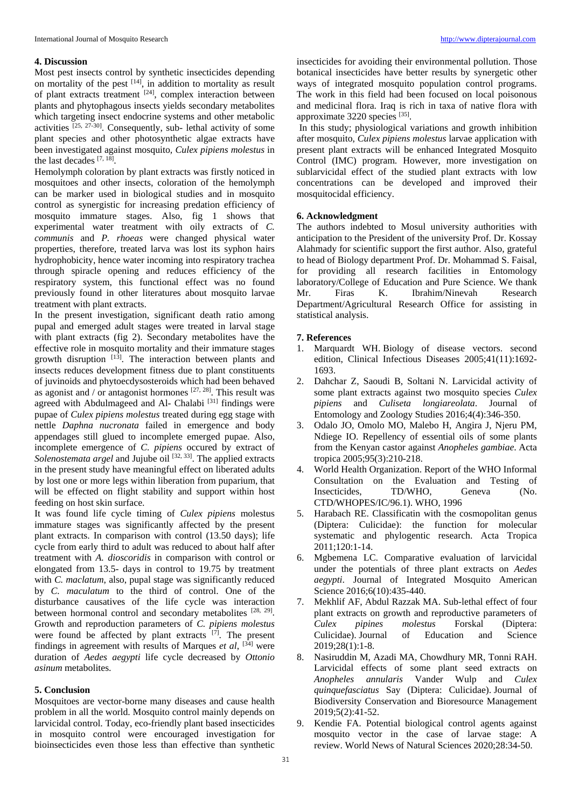#### **4. Discussion**

Most pest insects control by synthetic insecticides depending on mortality of the pest  $[14]$ , in addition to mortality as result of plant extracts treatment <sup>[24]</sup>, complex interaction between plants and phytophagous insects yields secondary metabolites which targeting insect endocrine systems and other metabolic activities <sup>[25, 27-30]</sup>. Consequently, sub- lethal activity of some plant species and other photosynthetic algae extracts have been investigated against mosquito*, Culex pipiens molestus* in the last decades [7, 18] .

Hemolymph coloration by plant extracts was firstly noticed in mosquitoes and other insects, coloration of the hemolymph can be marker used in biological studies and in mosquito control as synergistic for increasing predation efficiency of mosquito immature stages. Also, fig 1 shows that experimental water treatment with oily extracts of *C. communis* and *P. rhoeas* were changed physical water properties, therefore, treated larva was lost its syphon hairs hydrophobicity, hence water incoming into respiratory trachea through spiracle opening and reduces efficiency of the respiratory system, this functional effect was no found previously found in other literatures about mosquito larvae treatment with plant extracts.

In the present investigation, significant death ratio among pupal and emerged adult stages were treated in larval stage with plant extracts (fig 2). Secondary metabolites have the effective role in mosquito mortality and their immature stages growth disruption <sup>[13]</sup>. The interaction between plants and insects reduces development fitness due to plant constituents of juvinoids and phytoecdysosteroids which had been behaved as agonist and / or antagonist hormones  $[27, 28]$ . This result was agreed with Abdulmageed and Al- Chalabi [31] findings were pupae of *Culex pipiens molestus* treated during egg stage with nettle *Daphna nucronata* failed in emergence and body appendages still glued to incomplete emerged pupae. Also, incomplete emergence of *C. pipiens* occured by extract of Solenostemata argel and Jujube oil<sup>[32, 33]</sup>. The applied extracts in the present study have meaningful effect on liberated adults by lost one or more legs within liberation from puparium, that will be effected on flight stability and support within host feeding on host skin surface.

It was found life cycle timing of *Culex pipiens* molestus immature stages was significantly affected by the present plant extracts. In comparison with control (13.50 days); life cycle from early third to adult was reduced to about half after treatment with *A. dioscoridis* in comparison with control or elongated from 13.5- days in control to 19.75 by treatment with *C. maclatum*, also, pupal stage was significantly reduced by *C. maculatum* to the third of control. One of the disturbance causatives of the life cycle was interaction between hormonal control and secondary metabolites <sup>[28, 29]</sup>. Growth and reproduction parameters of *C. pipiens molestus* were found be affected by plant extracts  $[7]$ . The present findings in agreement with results of Marques *et al*, [34] were duration of *Aedes aegypti* life cycle decreased by *Ottonio asinum* metabolites.

## **5. Conclusion**

Mosquitoes are vector-borne many diseases and cause health problem in all the world. Mosquito control mainly depends on larvicidal control. Today, eco-friendly plant based insecticides in mosquito control were encouraged investigation for bioinsecticides even those less than effective than synthetic

insecticides for avoiding their environmental pollution. Those botanical insecticides have better results by synergetic other ways of integrated mosquito population control programs. The work in this field had been focused on local poisonous and medicinal flora. Iraq is rich in taxa of native flora with approximate 3220 species [35].

In this study; physiological variations and growth inhibition after mosquito, *Culex pipiens molestus* larvae application with present plant extracts will be enhanced Integrated Mosquito Control (IMC) program. However, more investigation on sublarvicidal effect of the studied plant extracts with low concentrations can be developed and improved their mosquitocidal efficiency.

## **6. Acknowledgment**

The authors indebted to Mosul university authorities with anticipation to the President of the university Prof. Dr. Kossay Alahmady for scientific support the first author. Also, grateful to head of Biology department Prof. Dr. Mohammad S. Faisal, for providing all research facilities in Entomology laboratory/College of Education and Pure Science. We thank Mr. Firas K. Ibrahim/Ninevah Research Department/Agricultural Research Office for assisting in statistical analysis.

#### **7. References**

- 1. Marquardt WH. Biology of disease vectors. second edition, Clinical Infectious Diseases 2005;41(11):1692- 1693.
- 2. Dahchar Z, Saoudi B, Soltani N. Larvicidal activity of some plant extracts against two mosquito species *Culex pipiens* and *Culiseta longiareolata*. Journal of Entomology and Zoology Studies 2016;4(4):346-350.
- 3. Odalo JO, Omolo MO, Malebo H, Angira J, Njeru PM, Ndiege IO. Repellency of essential oils of some plants from the Kenyan castor against *Anopheles gambiae*. Acta tropica 2005;95(3):210-218.
- 4. World Health Organization. Report of the WHO Informal Consultation on the Evaluation and Testing of Insecticides, TD/WHO, Geneva (No. CTD/WHOPES/IC/96.1). WHO, 1996
- 5. Harabach RE. Classificatin with the cosmopolitan genus (Diptera: Culicidae): the function for molecular systematic and phylogentic research. Acta Tropica 2011;120:1-14.
- 6. Mgbemena LC. Comparative evaluation of larvicidal under the potentials of three plant extracts on *Aedes aegypti*. Journal of Integrated Mosquito American Science 2016;6(10):435-440.
- 7. Mekhlif AF, Abdul Razzak MA. Sub-lethal effect of four plant extracts on growth and reproductive parameters of *Culex pipines molestus* Forskal (Diptera: Culicidae). Journal of Education and Science 2019;28(1):1-8.
- 8. Nasiruddin M, Azadi MA, Chowdhury MR, Tonni RAH. Larvicidal effects of some plant seed extracts on *Anopheles annularis* Vander Wulp and *Culex quinquefasciatus* Say (Diptera: Culicidae). Journal of Biodiversity Conservation and Bioresource Management 2019;5(2):41-52.
- 9. Kendie FA. Potential biological control agents against mosquito vector in the case of larvae stage: A review. World News of Natural Sciences 2020;28:34-50.